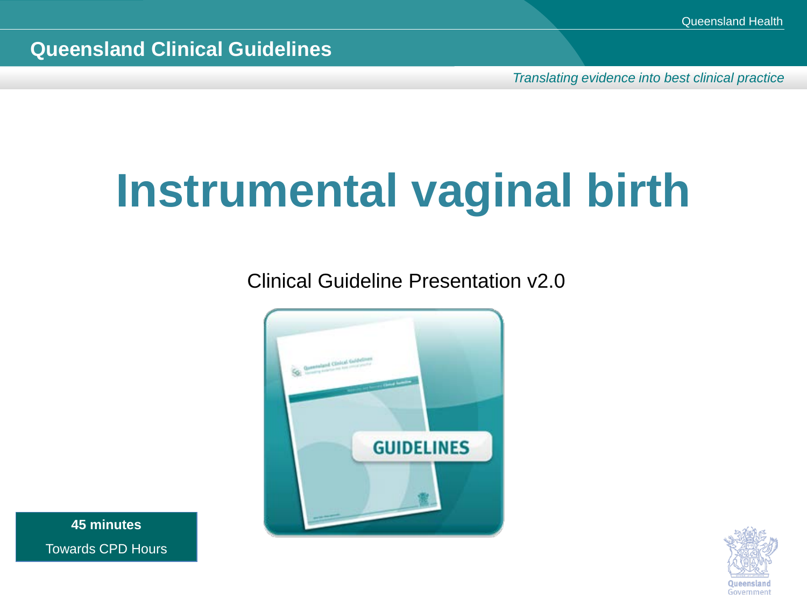*Translating evidence into best clinical practice*

# **Instrumental vaginal birth**

Clinical Guideline Presentation v2.0



**45 minutes** Towards CPD Hours

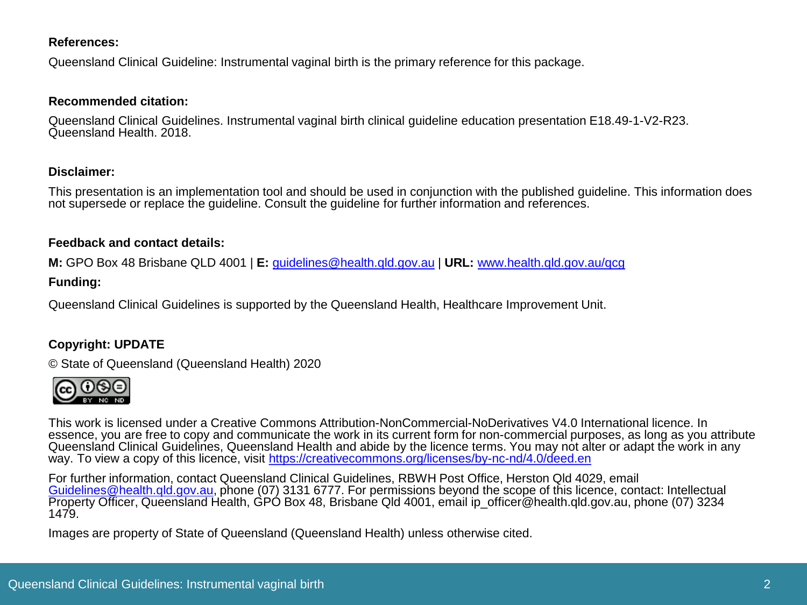#### **References:**

Queensland Clinical Guideline: Instrumental vaginal birth is the primary reference for this package.

#### **Recommended citation:**

Queensland Clinical Guidelines. Instrumental vaginal birth clinical guideline education presentation E18.49-1-V2-R23.<br>Queensland Health. 2018.

#### **Disclaimer:**

This presentation is an implementation tool and should be used in conjunction with the published guideline. This information does not supersede or replace the guideline. Consult the guideline for further information and references.

#### **Feedback and contact details:**

**M:** GPO Box 48 Brisbane QLD 4001 | **E:** [guidelines@health.qld.gov.au](mailto:guidelines@health.qld.gov.au) | **URL:** [www.health.qld.gov.au/qcg](http://www.health.qld.gov.au/qcg)

#### **Funding:**

Queensland Clinical Guidelines is supported by the Queensland Health, Healthcare Improvement Unit.

#### **Copyright: UPDATE**

© State of Queensland (Queensland Health) 2020



This work is licensed under a Creative Commons Attribution-NonCommercial-NoDerivatives V4.0 International licence. In essence, you are free to copy and communicate the work in its current form for non-commercial purposes, as long as you attribute Queensland Clinical Guidelines, Queensland Health and abide by the licence terms. You may not alter or adapt the work in any way. To view a copy of this licence, visit <https://creativecommons.org/licenses/by-nc-nd/4.0/deed.en>

For further information, contact Queensland Clinical Guidelines, RBWH Post Office, Herston Qld 4029, email<br>Guidelines@health.gld.gov.au, phone (07) 3131 6777. For permissions beyond the scope of this licence, contact: Inte [Property Officer, Queensland H](mailto:Guidelines@health.qld.gov.au)ealth, GPO Box 48, Brisbane Qld 4001, email ip officer@health.gld.gov.au, phone (07) 3234 1479.

Images are property of State of Queensland (Queensland Health) unless otherwise cited.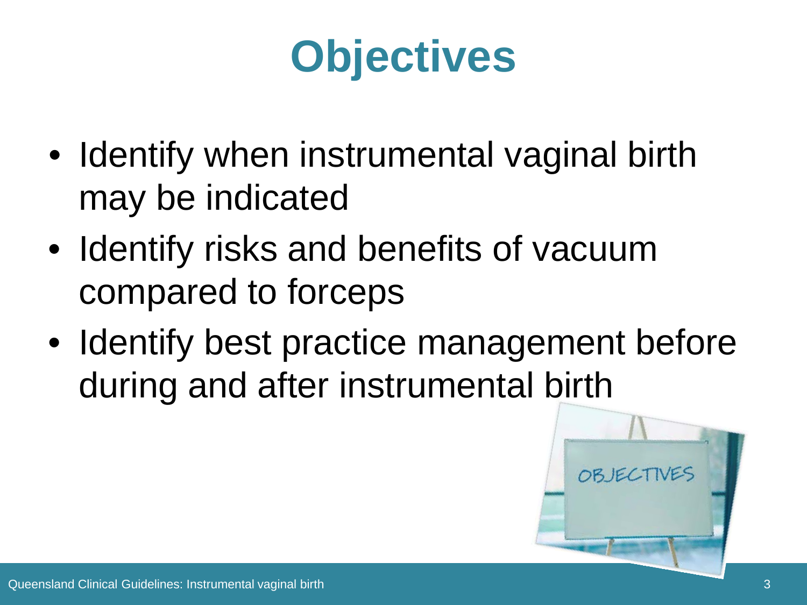# **Objectives**

- Identify when instrumental vaginal birth may be indicated
- Identify risks and benefits of vacuum compared to forceps
- Identify best practice management before during and after instrumental birth

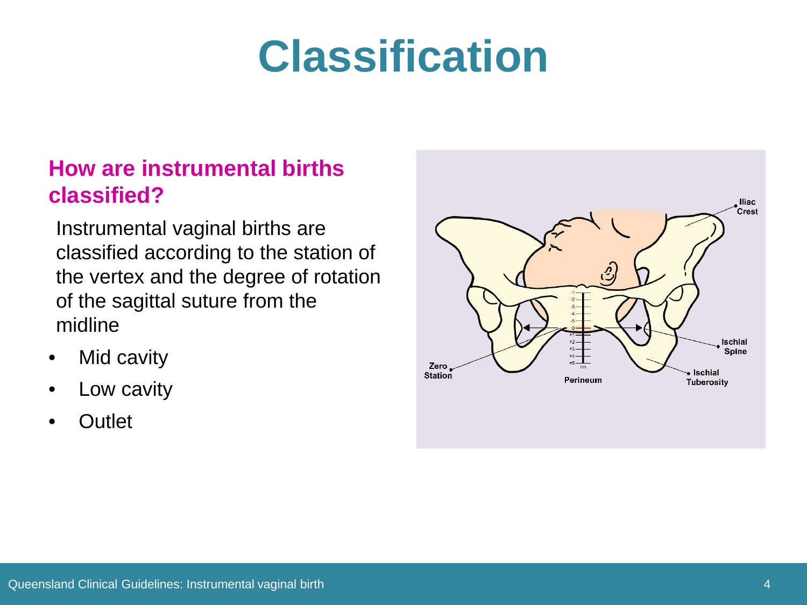## **Classification**

### **How are instrumental births classified?**

Instrumental vaginal births are classified according to the station of the vertex and the degree of rotation of the sagittal suture from the midline

- **Mid cavity**
- Low cavity
- **Outlet**

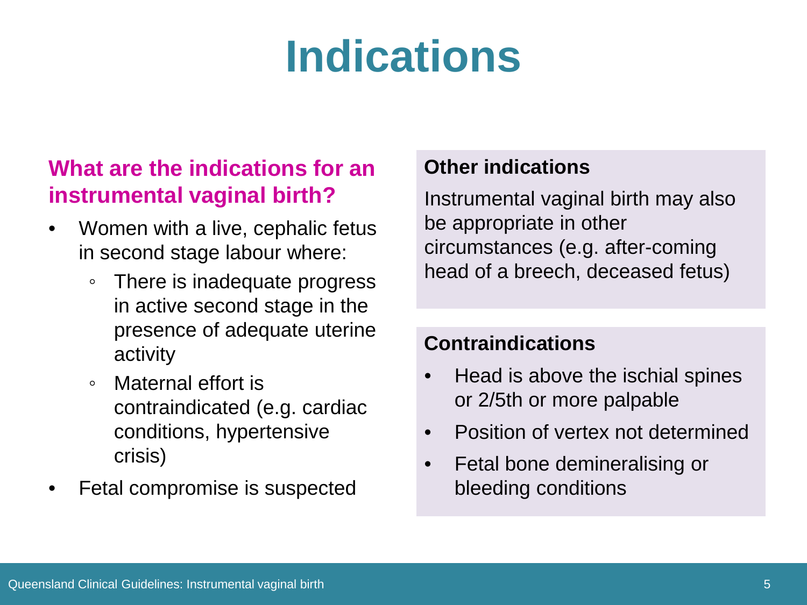# **Indications**

### **What are the indications for an instrumental vaginal birth?**

- Women with a live, cephalic fetus in second stage labour where:
	- There is inadequate progress in active second stage in the presence of adequate uterine activity
	- Maternal effort is contraindicated (e.g. cardiac conditions, hypertensive crisis)
- Fetal compromise is suspected

#### **Other indications**

Instrumental vaginal birth may also be appropriate in other circumstances (e.g. after-coming head of a breech, deceased fetus)

#### **Contraindications**

- Head is above the ischial spines or 2/5th or more palpable
- Position of vertex not determined
- Fetal bone demineralising or bleeding conditions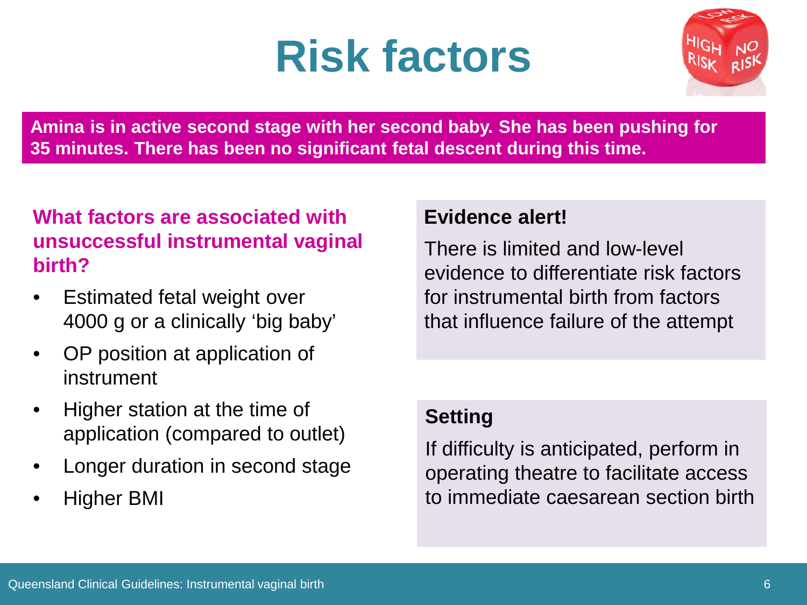## **Risk factors**



**Amina is in active second stage with her second baby. She has been pushing for 35 minutes. There has been no significant fetal descent during this time.** 

### **What factors are associated with unsuccessful instrumental vaginal birth?**

- Estimated fetal weight over 4000 g or a clinically 'big baby'
- OP position at application of instrument
- Higher station at the time of application (compared to outlet)
- Longer duration in second stage
- Higher BMI

#### **Evidence alert!**

There is limited and low-level evidence to differentiate risk factors for instrumental birth from factors that influence failure of the attempt

#### **Setting**

If difficulty is anticipated, perform in operating theatre to facilitate access to immediate caesarean section birth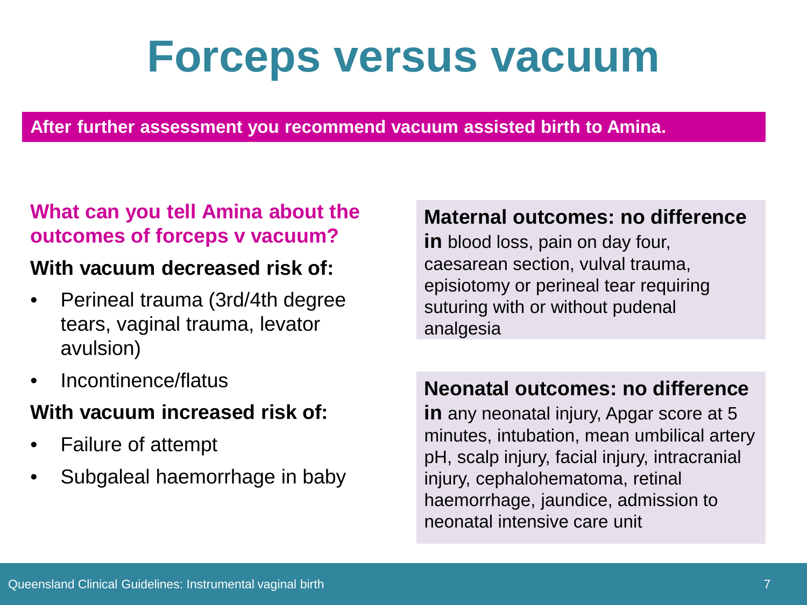### **Forceps versus vacuum**

**After further assessment you recommend vacuum assisted birth to Amina.** 

#### **What can you tell Amina about the outcomes of forceps v vacuum?**

#### **With vacuum decreased risk of:**

- Perineal trauma (3rd/4th degree tears, vaginal trauma, levator avulsion)
- Incontinence/flatus

### **With vacuum increased risk of:**

- Failure of attempt
- Subgaleal haemorrhage in baby

#### **Maternal outcomes: no difference**

**in** blood loss, pain on day four, caesarean section, vulval trauma, episiotomy or perineal tear requiring suturing with or without pudenal analgesia

#### **Neonatal outcomes: no difference**

**in** any neonatal injury, Apgar score at 5 minutes, intubation, mean umbilical artery pH, scalp injury, facial injury, intracranial injury, cephalohematoma, retinal haemorrhage, jaundice, admission to neonatal intensive care unit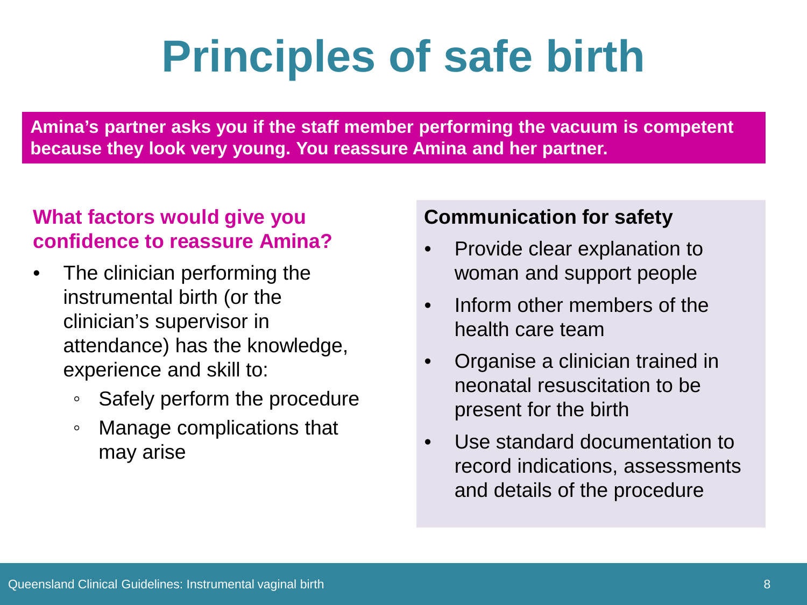# **Principles of safe birth**

**Amina's partner asks you if the staff member performing the vacuum is competent because they look very young. You reassure Amina and her partner.**

#### **What factors would give you confidence to reassure Amina?**

- The clinician performing the instrumental birth (or the clinician's supervisor in attendance) has the knowledge, experience and skill to:
	- Safely perform the procedure
	- Manage complications that may arise

#### **Communication for safety**

- Provide clear explanation to woman and support people
- Inform other members of the health care team
- Organise a clinician trained in neonatal resuscitation to be present for the birth
- Use standard documentation to record indications, assessments and details of the procedure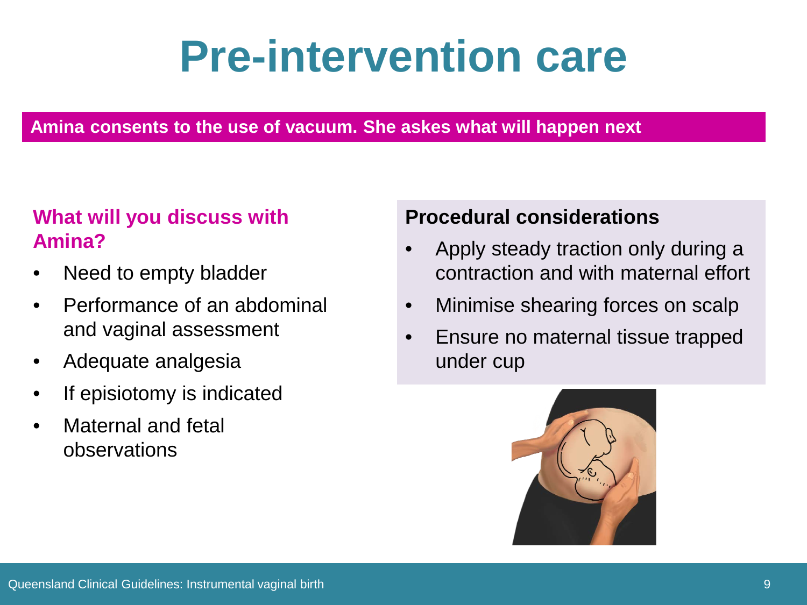## **Pre-intervention care**

#### **Amina consents to the use of vacuum. She askes what will happen next**

### **What will you discuss with Amina?**

- Need to empty bladder
- Performance of an abdominal and vaginal assessment
- Adequate analgesia
- If episiotomy is indicated
- Maternal and fetal observations

### **Procedural considerations**

- Apply steady traction only during a contraction and with maternal effort
- Minimise shearing forces on scalp
- Ensure no maternal tissue trapped under cup

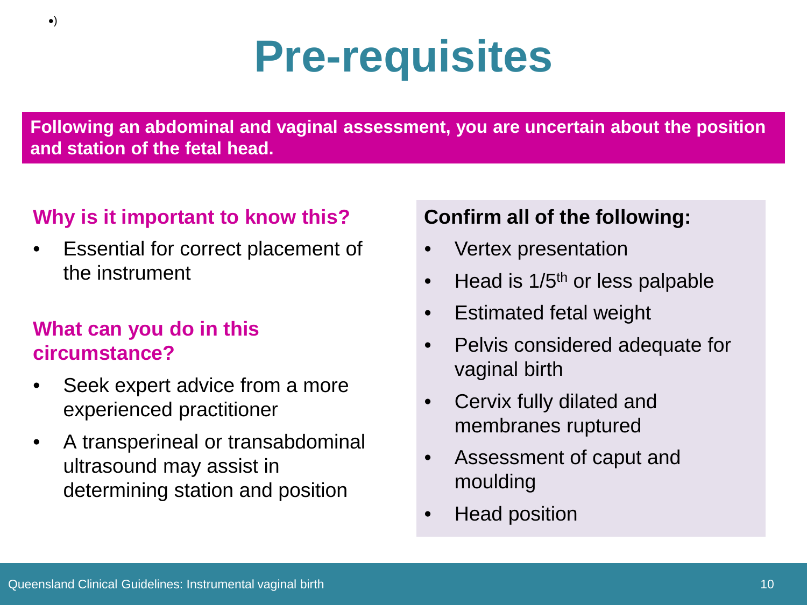# **Pre-requisites**

**Following an abdominal and vaginal assessment, you are uncertain about the position and station of the fetal head.**

#### **Why is it important to know this?**

Essential for correct placement of the instrument

#### **What can you do in this circumstance?**

- Seek expert advice from a more experienced practitioner
- A transperineal or transabdominal ultrasound may assist in determining station and position

#### **Confirm all of the following:**

- Vertex presentation
- Head is  $1/5<sup>th</sup>$  or less palpable
- Estimated fetal weight
- Pelvis considered adequate for vaginal birth
- Cervix fully dilated and membranes ruptured
- Assessment of caput and moulding
- Head position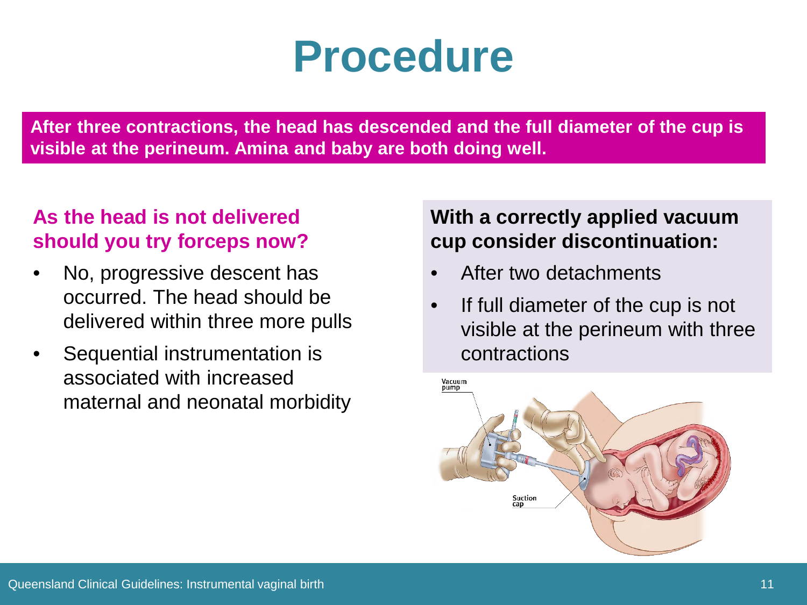### **Procedure**

**After three contractions, the head has descended and the full diameter of the cup is visible at the perineum. Amina and baby are both doing well.**

### **As the head is not delivered should you try forceps now?**

- No, progressive descent has occurred. The head should be delivered within three more pulls
- Sequential instrumentation is associated with increased maternal and neonatal morbidity

#### **With a correctly applied vacuum cup consider discontinuation:**

- After two detachments
- If full diameter of the cup is not visible at the perineum with three contractions